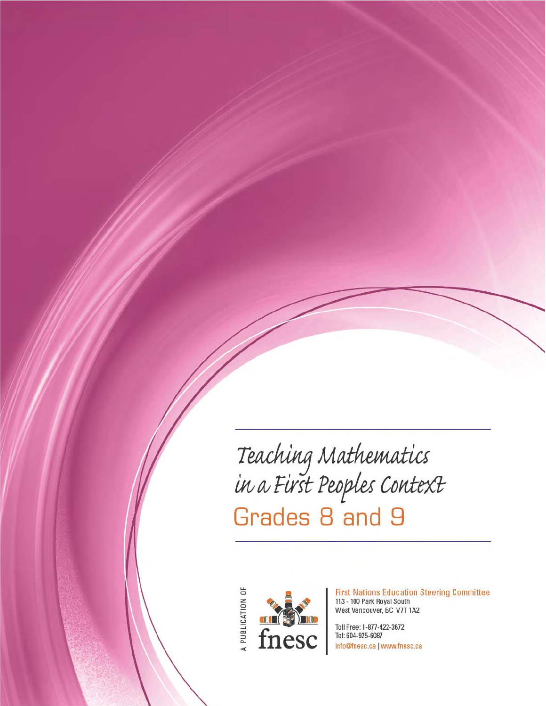Teaching Mathematics<br>in a First Peoples Context<br>Grades 8 and 9

A PUBLICATION OF



**First Nations Education Steering Committee** 113 - 100 Park Royal South West Vancouver, BC V7T 1A2

Toll Free: 1-877-422-3672 Tel: 604-925-6087 info@fnesc.ca | www.fnesc.ca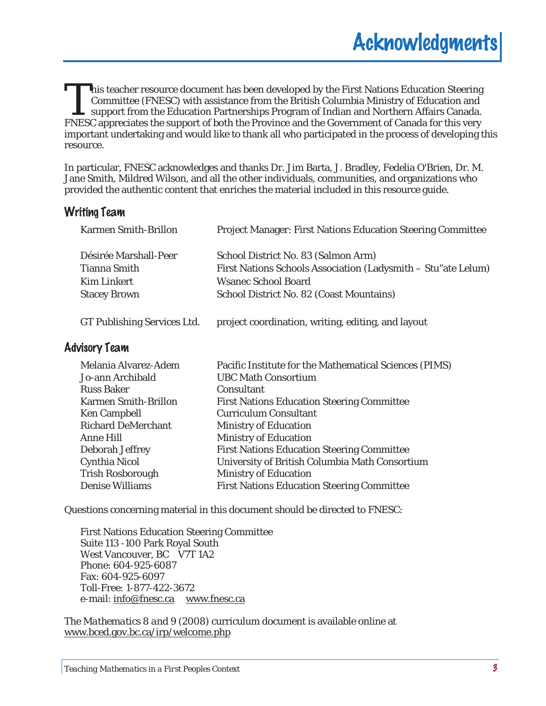his teacher resource document has been developed by the First Nations Education Steering Committee (FNESC) with assistance from the British Columbia Ministry of Education and support from the Education Partnerships Program of Indian and Northern Affairs Canada. First Nations Education Steering<br>Committee (FNESC) with assistance from the British Columbia Ministry of Education and<br>support from the Education Partnerships Program of Indian and Northern Affairs Canada.<br>FNESC appreciate important undertaking and would like to thank all who participated in the process of developing this resource.

In particular, FNESC acknowledges and thanks Dr. Jim Barta, J. Bradley, Fedelia O'Brien, Dr. M. Jane Smith, Mildred Wilson, and all the other individuals, communities, and organizations who provided the authentic content that enriches the material included in this resource guide.

## Writing Team

| <b>Project Manager: First Nations Education Steering Committee</b> |
|--------------------------------------------------------------------|
| School District No. 83 (Salmon Arm)                                |
| First Nations Schools Association (Ladysmith - Stu"ate Lelum)      |
| Wsanec School Board                                                |
| School District No. 82 (Coast Mountains)                           |
|                                                                    |
|                                                                    |

GT Publishing Services Ltd. project coordination, writing, editing, and layout

## Advisory Team

| Melania Alvarez-Adem      | Pacific Institute for the Mathematical Sciences (PIMS) |
|---------------------------|--------------------------------------------------------|
| Jo-ann Archibald          | <b>UBC Math Consortium</b>                             |
| <b>Russ Baker</b>         | Consultant                                             |
| Karmen Smith-Brillon      | <b>First Nations Education Steering Committee</b>      |
| Ken Campbell              | <b>Curriculum Consultant</b>                           |
| <b>Richard DeMerchant</b> | Ministry of Education                                  |
| Anne Hill                 | Ministry of Education                                  |
| Deborah Jeffrey           | <b>First Nations Education Steering Committee</b>      |
| Cynthia Nicol             | University of British Columbia Math Consortium         |
| Trish Rosborough          | Ministry of Education                                  |
| Denise Williams           | <b>First Nations Education Steering Committee</b>      |

Questions concerning material in this document should be directed to FNESC:

First Nations Education Steering Committee Suite 113 -100 Park Royal South West Vancouver, BC V7T 1A2 Phone: 604-925-6087 Fax: 604-925-6097 Toll-Free: 1-877-422-3672 e-mail: info@fnesc.ca www.fnesc.ca

The *Mathematics 8 and 9 (2008)* curriculum document is available online at www.bced.gov.bc.ca/irp/welcome.php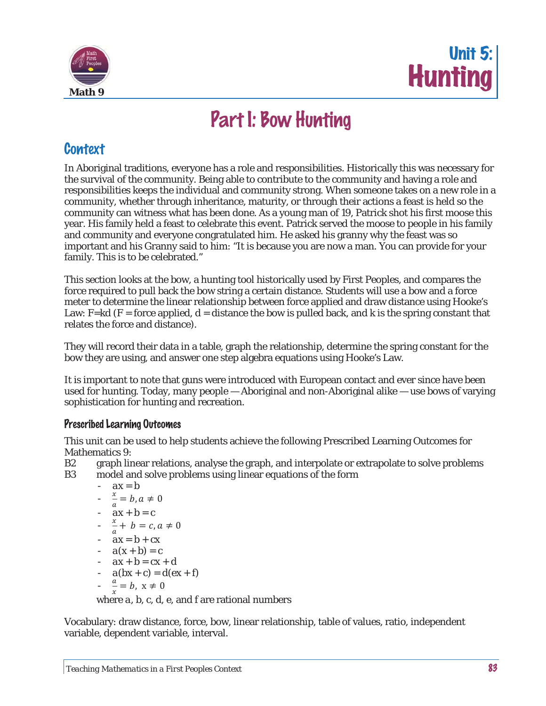



# Part I: Bow Hunting

# **Context**

In Aboriginal traditions, everyone has a role and responsibilities. Historically this was necessary for the survival of the community. Being able to contribute to the community and having a role and responsibilities keeps the individual and community strong. When someone takes on a new role in a community, whether through inheritance, maturity, or through their actions a feast is held so the community can witness what has been done. As a young man of 19, Patrick shot his first moose this year. His family held a feast to celebrate this event. Patrick served the moose to people in his family and community and everyone congratulated him. He asked his granny why the feast was so important and his Granny said to him: "It is because you are now a man. You can provide for your family. This is to be celebrated."

This section looks at the bow, a hunting tool historically used by First Peoples, and compares the force required to pull back the bow string a certain distance. Students will use a bow and a force meter to determine the linear relationship between force applied and draw distance using Hooke's Law:  $F=kd$  (F = force applied,  $d = distance$  the bow is pulled back, and k is the spring constant that relates the force and distance).

They will record their data in a table, graph the relationship, determine the spring constant for the bow they are using, and answer one step algebra equations using Hooke's Law.

It is important to note that guns were introduced with European contact and ever since have been used for hunting. Today, many people — Aboriginal and non-Aboriginal alike — use bows of varying sophistication for hunting and recreation.

## Prescribed Learning Outcomes

This unit can be used to help students achieve the following Prescribed Learning Outcomes for Mathematics 9:

B2 graph linear relations, analyse the graph, and interpolate or extrapolate to solve problems B3 model and solve problems using linear equations of the form

$$
ax = b
$$
  
\n
$$
- \frac{x}{a} = b, a \neq 0
$$
  
\n
$$
- ax + b = c
$$
  
\n
$$
- \frac{x}{a} + b = c, a \neq 0
$$
  
\n
$$
- ax = b + cx
$$
  
\n
$$
- a(x + b) = c
$$
  
\n
$$
- ax + b = cx + d
$$
  
\n
$$
- a(bx + c) = d(ex + f)
$$
  
\n
$$
- \frac{a}{x} = b, x \neq 0
$$

where *a, b, c, d, e*, and *f* are rational numbers

Vocabulary: draw distance, force, bow, linear relationship, table of values, ratio, independent variable, dependent variable, interval.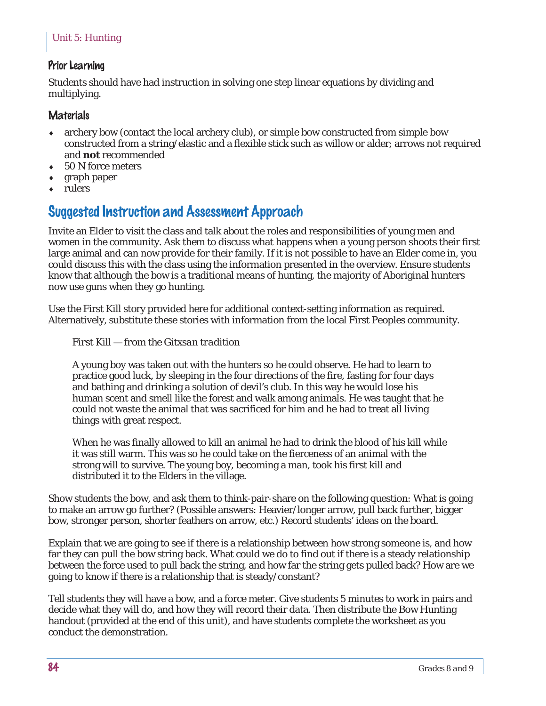## Prior Learning

Students should have had instruction in solving one step linear equations by dividing and multiplying.

### **Materials**

- archery bow (contact the local archery club), or simple bow constructed from simple bow constructed from a string/elastic and a flexible stick such as willow or alder; arrows not required and **not** recommended
- 50 N force meters
- graph paper
- rulers

# Suggested Instruction and Assessment Approach

Invite an Elder to visit the class and talk about the roles and responsibilities of young men and women in the community. Ask them to discuss what happens when a young person shoots their first large animal and can now provide for their family. If it is not possible to have an Elder come in, you could discuss this with the class using the information presented in the overview. Ensure students know that although the bow is a traditional means of hunting, the majority of Aboriginal hunters now use guns when they go hunting.

Use the First Kill story provided here for additional context-setting information as required. Alternatively, substitute these stories with information from the local First Peoples community.

### *First Kill — from the Gitxsan tradition*

A young boy was taken out with the hunters so he could observe. He had to learn to practice good luck, by sleeping in the four directions of the fire, fasting for four days and bathing and drinking a solution of devil's club. In this way he would lose his human scent and smell like the forest and walk among animals. He was taught that he could not waste the animal that was sacrificed for him and he had to treat all living things with great respect.

When he was finally allowed to kill an animal he had to drink the blood of his kill while it was still warm. This was so he could take on the fierceness of an animal with the strong will to survive. The young boy, becoming a man, took his first kill and distributed it to the Elders in the village.

Show students the bow, and ask them to think-pair-share on the following question: What is going to make an arrow go further? (Possible answers: Heavier/longer arrow, pull back further, bigger bow, stronger person, shorter feathers on arrow, etc.) Record students' ideas on the board.

Explain that we are going to see if there is a relationship between how strong someone is, and how far they can pull the bow string back. What could we do to find out if there is a steady relationship between the force used to pull back the string, and how far the string gets pulled back? How are we going to know if there is a relationship that is steady/constant?

Tell students they will have a bow, and a force meter. Give students 5 minutes to work in pairs and decide what they will do, and how they will record their data. Then distribute the Bow Hunting handout (provided at the end of this unit), and have students complete the worksheet as you conduct the demonstration.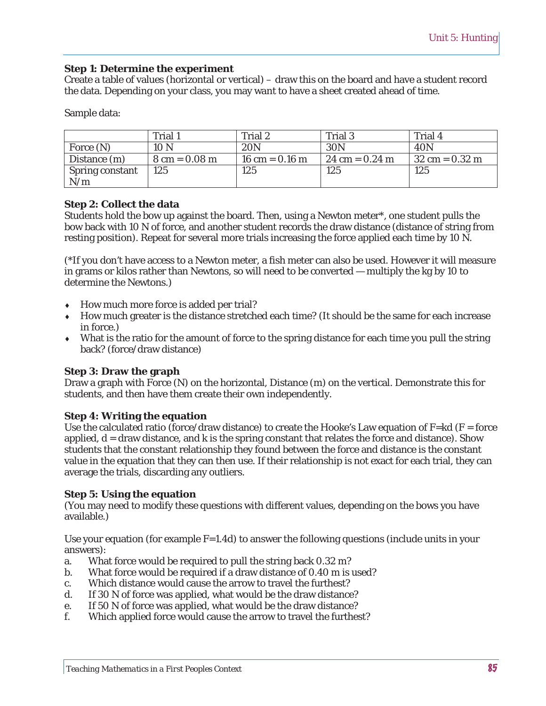### **Step 1: Determine the experiment**

Create a table of values (horizontal or vertical) – draw this on the board and have a student record the data. Depending on your class, you may want to have a sheet created ahead of time.

Sample data:

|                 | Trial 1                         | Trial 2          | Trial 3                          | Trial 4                          |
|-----------------|---------------------------------|------------------|----------------------------------|----------------------------------|
| Force (N)       | 10 <sub>N</sub>                 | 20N              | 30N                              | 40N                              |
| Distance (m)    | $8 \text{ cm} = 0.08 \text{ m}$ | 16 cm = $0.16$ m | $24 \text{ cm} = 0.24 \text{ m}$ | $32 \text{ cm} = 0.32 \text{ m}$ |
| Spring constant | 125                             | 125              | 125                              | 125                              |
| N/m             |                                 |                  |                                  |                                  |

### **Step 2: Collect the data**

Students hold the bow up against the board. Then, using a Newton meter\*, one student pulls the bow back with 10 N of force, and another student records the draw distance (distance of string from resting position). Repeat for several more trials increasing the force applied each time by 10 N.

(\*If you don't have access to a Newton meter, a fish meter can also be used. However it will measure in grams or kilos rather than Newtons, so will need to be converted — multiply the kg by 10 to determine the Newtons.)

- $\leftrightarrow$  How much more force is added per trial?
- $\bullet$  How much greater is the distance stretched each time? (It should be the same for each increase in force.)
- $\bullet$  What is the ratio for the amount of force to the spring distance for each time you pull the string back? (force/draw distance)

### **Step 3: Draw the graph**

Draw a graph with Force (N) on the horizontal, Distance (m) on the vertical. Demonstrate this for students, and then have them create their own independently.

#### **Step 4: Writing the equation**

Use the calculated ratio (force/draw distance) to create the Hooke's Law equation of  $F=kd$  ( $F=$  force applied,  $d =$  draw distance, and  $k$  is the spring constant that relates the force and distance). Show students that the constant relationship they found between the force and distance is the constant value in the equation that they can then use. If their relationship is not exact for each trial, they can average the trials, discarding any outliers.

### **Step 5: Using the equation**

(You may need to modify these questions with different values, depending on the bows you have available.)

Use your equation (for example  $F=1.4d$ ) to answer the following questions (include units in your answers):

- a. What force would be required to pull the string back 0.32 m?
- b. What force would be required if a draw distance of 0.40 m is used?
- c. Which distance would cause the arrow to travel the furthest?
- d. If 30 N of force was applied, what would be the draw distance?
- e. If 50 N of force was applied, what would be the draw distance?
- f. Which applied force would cause the arrow to travel the furthest?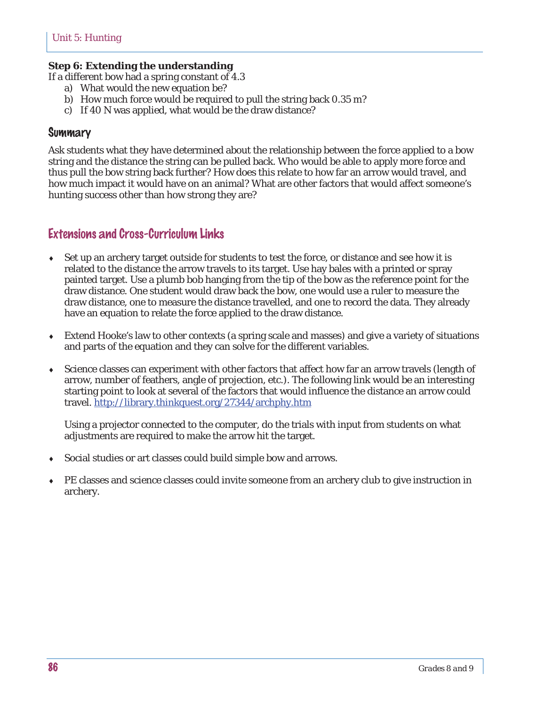### **Step 6: Extending the understanding**

If a different bow had a spring constant of 4.3

- a) What would the new equation be?
- b) How much force would be required to pull the string back 0.35 m?
- c) If 40 N was applied, what would be the draw distance?

### **Summary**

Ask students what they have determined about the relationship between the force applied to a bow string and the distance the string can be pulled back. Who would be able to apply more force and thus pull the bow string back further? How does this relate to how far an arrow would travel, and how much impact it would have on an animal? What are other factors that would affect someone's hunting success other than how strong they are?

## Extensions and Cross-Curriculum Links

- $\bullet$  Set up an archery target outside for students to test the force, or distance and see how it is related to the distance the arrow travels to its target. Use hay bales with a printed or spray painted target. Use a plumb bob hanging from the tip of the bow as the reference point for the draw distance. One student would draw back the bow, one would use a ruler to measure the draw distance, one to measure the distance travelled, and one to record the data. They already have an equation to relate the force applied to the draw distance.
- $\bullet$  Extend Hooke's law to other contexts (a spring scale and masses) and give a variety of situations and parts of the equation and they can solve for the different variables.
- Science classes can experiment with other factors that affect how far an arrow travels (length of arrow, number of feathers, angle of projection, etc.). The following link would be an interesting starting point to look at several of the factors that would influence the distance an arrow could travel. http://library.thinkquest.org/27344/archphy.htm

Using a projector connected to the computer, do the trials with input from students on what adjustments are required to make the arrow hit the target.

- Social studies or art classes could build simple bow and arrows.
- PE classes and science classes could invite someone from an archery club to give instruction in archery.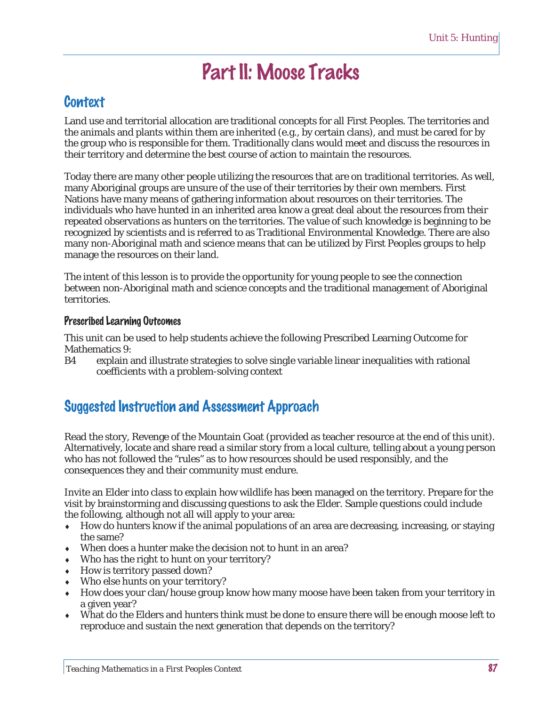# Part II: Moose Tracks

# **Context**

Land use and territorial allocation are traditional concepts for all First Peoples. The territories and the animals and plants within them are inherited (e.g., by certain clans), and must be cared for by the group who is responsible for them. Traditionally clans would meet and discuss the resources in their territory and determine the best course of action to maintain the resources.

Today there are many other people utilizing the resources that are on traditional territories. As well, many Aboriginal groups are unsure of the use of their territories by their own members. First Nations have many means of gathering information about resources on their territories. The individuals who have hunted in an inherited area know a great deal about the resources from their repeated observations as hunters on the territories. The value of such knowledge is beginning to be recognized by scientists and is referred to as Traditional Environmental Knowledge. There are also many non-Aboriginal math and science means that can be utilized by First Peoples groups to help manage the resources on their land.

The intent of this lesson is to provide the opportunity for young people to see the connection between non-Aboriginal math and science concepts and the traditional management of Aboriginal territories.

### Prescribed Learning Outcomes

This unit can be used to help students achieve the following Prescribed Learning Outcome for Mathematics 9:

B4 explain and illustrate strategies to solve single variable linear inequalities with rational coefficients with a problem-solving context

# Suggested Instruction and Assessment Approach

Read the story, Revenge of the Mountain Goat (provided as teacher resource at the end of this unit). Alternatively, locate and share read a similar story from a local culture, telling about a young person who has not followed the "rules" as to how resources should be used responsibly, and the consequences they and their community must endure.

Invite an Elder into class to explain how wildlife has been managed on the territory. Prepare for the visit by brainstorming and discussing questions to ask the Elder. Sample questions could include the following, although not all will apply to your area:

- $\bullet$  How do hunters know if the animal populations of an area are decreasing, increasing, or staying the same?
- $\bullet$  When does a hunter make the decision not to hunt in an area?
- $\bullet$  Who has the right to hunt on your territory?
- $\bullet$  How is territory passed down?
- $\bullet$  Who else hunts on your territory?
- How does your clan/house group know how many moose have been taken from your territory in a given year?
- What do the Elders and hunters think must be done to ensure there will be enough moose left to reproduce and sustain the next generation that depends on the territory?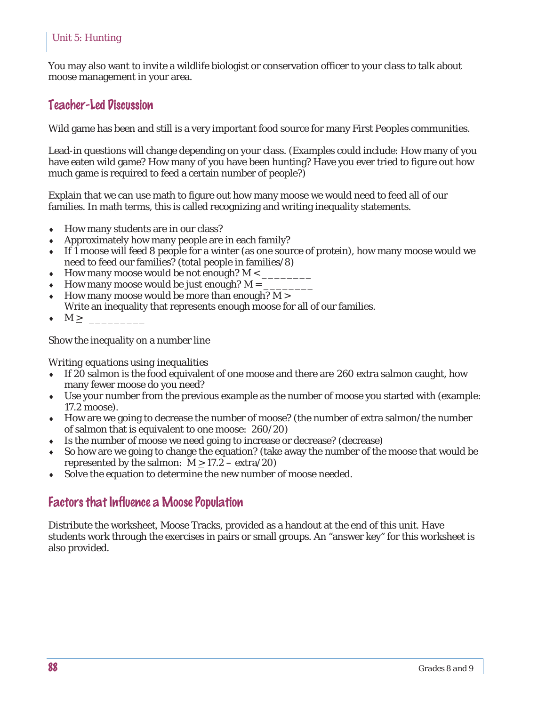You may also want to invite a wildlife biologist or conservation officer to your class to talk about moose management in your area.

## Teacher-Led Discussion

Wild game has been and still is a very important food source for many First Peoples communities.

Lead-in questions will change depending on your class. (Examples could include: How many of you have eaten wild game? How many of you have been hunting? Have you ever tried to figure out how much game is required to feed a certain number of people?)

Explain that we can use math to figure out how many moose we would need to feed all of our families. In math terms, this is called recognizing and writing inequality statements.

- $\leftarrow$  How many students are in our class?
- Approximately how many people are in each family?
- i If 1 moose will feed 8 people for a winter (as one source of protein), how many moose would we need to feed our families? (total people in families/8)
- How many moose would be not enough? M  $\lt$
- How many moose would be just enough? M =  $\overline{a}$
- How many moose would be more than enough?  $M > 1$
- Write an inequality that represents enough moose for all of our families.
- $\bullet$  M >  $\_\_$

Show the inequality on a number line

### *Writing equations using inequalities*

- $\bullet$  If 20 salmon is the food equivalent of one moose and there are 260 extra salmon caught, how many fewer moose do you need?
- $\bullet$  Use your number from the previous example as the number of moose you started with (example: 17.2 moose).
- $\bullet$  How are we going to decrease the number of moose? (the number of extra salmon/the number of salmon that is equivalent to one moose: 260/20)
- Is the number of moose we need going to increase or decrease? (decrease)
- So how are we going to change the equation? (take away the number of the moose that would be represented by the salmon:  $M > 17.2 - \text{extra}/20$
- $\bullet$  Solve the equation to determine the new number of moose needed.

## Factors that Influence a Moose Population

Distribute the worksheet, Moose Tracks, provided as a handout at the end of this unit. Have students work through the exercises in pairs or small groups. An "answer key" for this worksheet is also provided.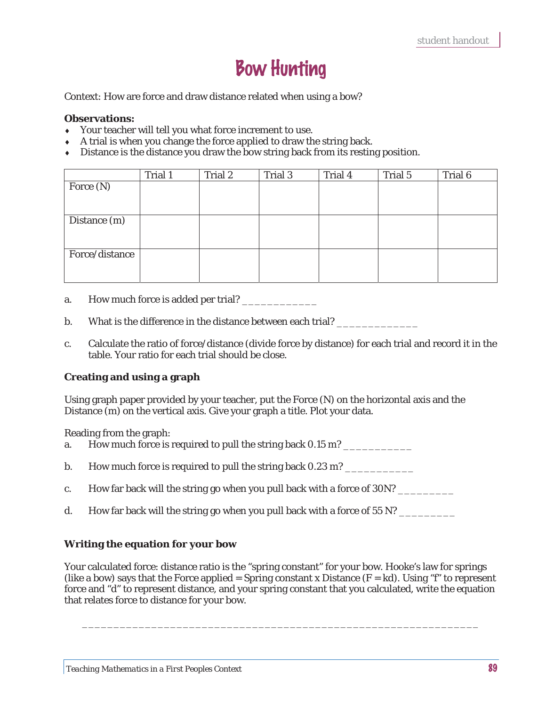# Bow Hunting

Context: How are force and draw distance related when using a bow?

#### **Observations:**

- Your teacher will tell you what force increment to use.
- $\bullet$  A trial is when you change the force applied to draw the string back.
- $\bullet$  Distance is the distance you draw the bow string back from its resting position.

|                | Trial 1 | Trial 2 | Trial 3 | Trial 4 | Trial 5 | Trial 6 |
|----------------|---------|---------|---------|---------|---------|---------|
| Force (N)      |         |         |         |         |         |         |
|                |         |         |         |         |         |         |
|                |         |         |         |         |         |         |
| Distance (m)   |         |         |         |         |         |         |
|                |         |         |         |         |         |         |
|                |         |         |         |         |         |         |
| Force/distance |         |         |         |         |         |         |
|                |         |         |         |         |         |         |
|                |         |         |         |         |         |         |

- a. How much force is added per trial?
- b. What is the difference in the distance between each trial?
- c. Calculate the ratio of force/distance (divide force by distance) for each trial and record it in the table. Your ratio for each trial should be close.

### **Creating and using a graph**

Using graph paper provided by your teacher, put the Force (N) on the horizontal axis and the Distance (m) on the vertical axis. Give your graph a title. Plot your data.

Reading from the graph:

- a. How much force is required to pull the string back 0.15 m?
- b. How much force is required to pull the string back  $0.23$  m?
- c. How far back will the string go when you pull back with a force of 30N?
- d. How far back will the string go when you pull back with a force of 55 N?

### **Writing the equation for your bow**

Your calculated force: distance ratio is the "spring constant" for your bow. Hooke's law for springs (like a bow) says that the Force applied = Spring constant x Distance  $(F = kd)$ . Using "f" to represent force and "d" to represent distance, and your spring constant that you calculated, write the equation that relates force to distance for your bow.

\_\_\_\_\_\_\_\_\_\_\_\_\_\_\_\_\_\_\_\_\_\_\_\_\_\_\_\_\_\_\_\_\_\_\_\_\_\_\_\_\_\_\_\_\_\_\_\_\_\_\_\_\_\_\_\_\_\_\_\_\_\_\_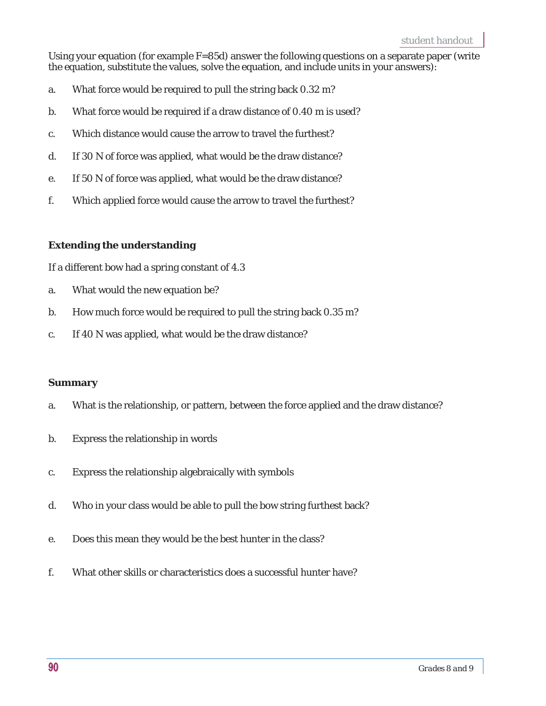Using your equation (for example F=85d) answer the following questions on a separate paper (write the equation, substitute the values, solve the equation, and include units in your answers):

- a. What force would be required to pull the string back 0.32 m?
- b. What force would be required if a draw distance of 0.40 m is used?
- c. Which distance would cause the arrow to travel the furthest?
- d. If 30 N of force was applied, what would be the draw distance?
- e. If 50 N of force was applied, what would be the draw distance?
- f. Which applied force would cause the arrow to travel the furthest?

### **Extending the understanding**

If a different bow had a spring constant of 4.3

- a. What would the new equation be?
- b. How much force would be required to pull the string back 0.35 m?
- c. If 40 N was applied, what would be the draw distance?

### **Summary**

- a. What is the relationship, or pattern, between the force applied and the draw distance?
- b. Express the relationship in words
- c. Express the relationship algebraically with symbols
- d. Who in your class would be able to pull the bow string furthest back?
- e. Does this mean they would be the best hunter in the class?
- f. What other skills or characteristics does a successful hunter have?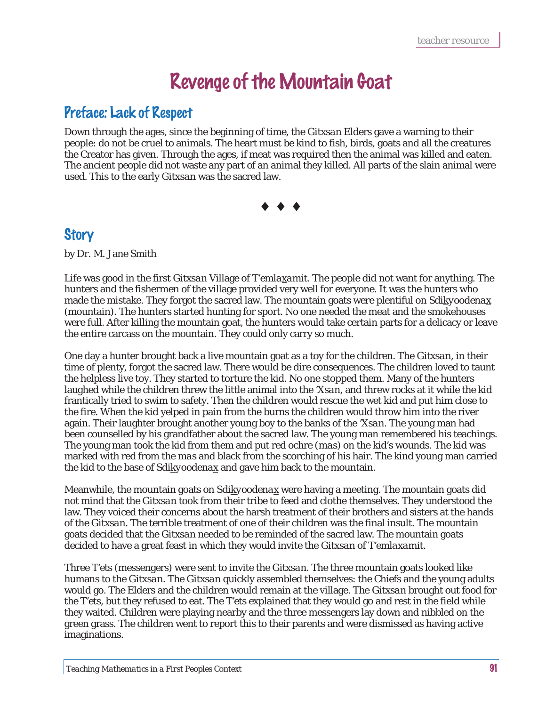# Revenge of the Mountain Goat

# Preface: Lack of Respect

Down through the ages, since the beginning of time, the *Gitxsan* Elders gave a warning to their people: do not be cruel to animals. The heart must be kind to fish, birds, goats and all the creatures the Creator has given. Through the ages, if meat was required then the animal was killed and eaten. The ancient people did not waste any part of an animal they killed. All parts of the slain animal were used. This to the early *Gitxsan* was the sacred law*.*



# **Story**

by Dr. M. Jane Smith

Life was good in the first *Gitxsan* Village of *T'emlaxamit*. The people did not want for anything. The hunters and the fishermen of the village provided very well for everyone. It was the hunters who made the mistake. They forgot the sacred law. The mountain goats were plentiful on *Sdikyoodenax* (mountain). The hunters started hunting for sport. No one needed the meat and the smokehouses were full. After killing the mountain goat, the hunters would take certain parts for a delicacy or leave the entire carcass on the mountain. They could only carry so much.

One day a hunter brought back a live mountain goat as a toy for the children. The *Gitxsan*, in their time of plenty, forgot the sacred law. There would be dire consequences. The children loved to taunt the helpless live toy. They started to torture the kid. No one stopped them. Many of the hunters laughed while the children threw the little animal into the *'Xsan*, and threw rocks at it while the kid frantically tried to swim to safety. Then the children would rescue the wet kid and put him close to the fire. When the kid yelped in pain from the burns the children would throw him into the river again. Their laughter brought another young boy to the banks of the *'Xsan*. The young man had been counselled by his grandfather about the sacred law. The young man remembered his teachings. The young man took the kid from them and put red ochre (*mas*) on the kid's wounds. The kid was marked with red from the *mas* and black from the scorching of his hair. The kind young man carried the kid to the base of *Sdikyoodenax* and gave him back to the mountain.

Meanwhile, the mountain goats on *Sdikyoodenax* were having a meeting. The mountain goats did not mind that the *Gitxsan* took from their tribe to feed and clothe themselves. They understood the law. They voiced their concerns about the harsh treatment of their brothers and sisters at the hands of the *Gitxsan*. The terrible treatment of one of their children was the final insult. The mountain goats decided that the *Gitxsan* needed to be reminded of the sacred law. The mountain goats decided to have a great feast in which they would invite the *Gitxsan* of *T'emlaxamit*.

Three *T'ets* (messengers) were sent to invite the *Gitxsan*. The three mountain goats looked like humans to the *Gitxsan*. The *Gitxsan* quickly assembled themselves: the Chiefs and the young adults would go. The Elders and the children would remain at the village. The *Gitxsan* brought out food for the *T'ets*, but they refused to eat. The *T'ets* explained that they would go and rest in the field while they waited. Children were playing nearby and the three messengers lay down and nibbled on the green grass. The children went to report this to their parents and were dismissed as having active imaginations.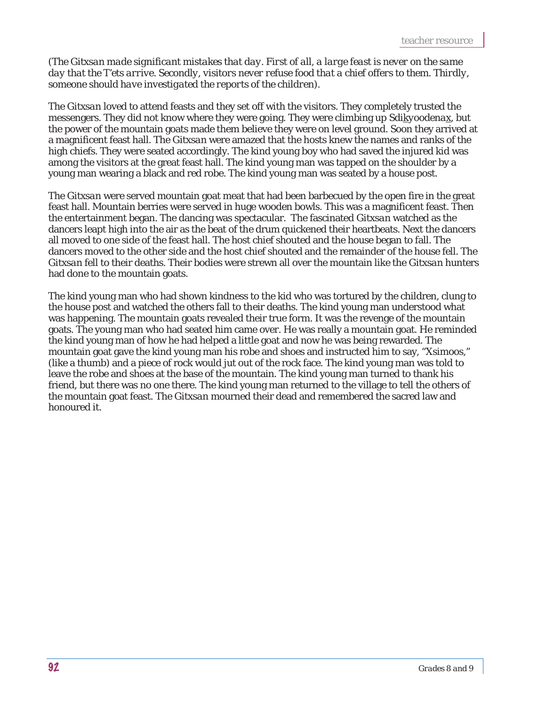### (*The Gitxsan made significant mistakes that day. First of all, a large feast is never on the same day that the T'ets arrive. Secondly, visitors never refuse food that a chief offers to them. Thirdly, someone should have investigated the reports of the children).*

The *Gitxsan* loved to attend feasts and they set off with the visitors. They completely trusted the messengers. They did not know where they were going. They were climbing up *Sdikyoodenax*, but the power of the mountain goats made them believe they were on level ground. Soon they arrived at a magnificent feast hall. The *Gitxsan* were amazed that the hosts knew the names and ranks of the high chiefs. They were seated accordingly. The kind young boy who had saved the injured kid was among the visitors at the great feast hall. The kind young man was tapped on the shoulder by a young man wearing a black and red robe. The kind young man was seated by a house post.

The *Gitxsan* were served mountain goat meat that had been barbecued by the open fire in the great feast hall. Mountain berries were served in huge wooden bowls. This was a magnificent feast. Then the entertainment began. The dancing was spectacular. The fascinated *Gitxsan* watched as the dancers leapt high into the air as the beat of the drum quickened their heartbeats. Next the dancers all moved to one side of the feast hall. The host chief shouted and the house began to fall. The dancers moved to the other side and the host chief shouted and the remainder of the house fell. The *Gitxsan* fell to their deaths. Their bodies were strewn all over the mountain like the *Gitxsan* hunters had done to the mountain goats.

The kind young man who had shown kindness to the kid who was tortured by the children, clung to the house post and watched the others fall to their deaths. The kind young man understood what was happening. The mountain goats revealed their true form. It was the revenge of the mountain goats. The young man who had seated him came over. He was really a mountain goat. He reminded the kind young man of how he had helped a little goat and now he was being rewarded. The mountain goat gave the kind young man his robe and shoes and instructed him to say, "*Xsimoos*," (like a thumb) and a piece of rock would jut out of the rock face. The kind young man was told to leave the robe and shoes at the base of the mountain. The kind young man turned to thank his friend, but there was no one there. The kind young man returned to the village to tell the others of the mountain goat feast. The *Gitxsan* mourned their dead and remembered the sacred law and honoured it.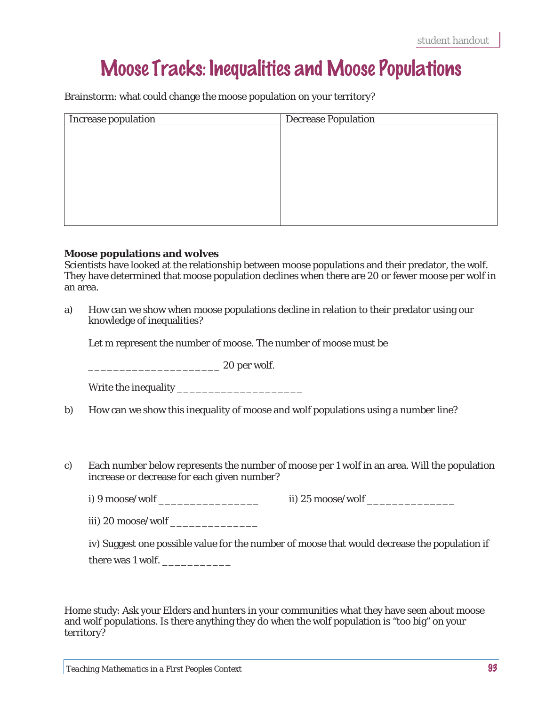# Moose Tracks: Inequalities and Moose Populations

Brainstorm: what could change the moose population on your territory?

| Increase population | <b>Decrease Population</b> |
|---------------------|----------------------------|
|                     |                            |
|                     |                            |
|                     |                            |
|                     |                            |
|                     |                            |
|                     |                            |
|                     |                            |
|                     |                            |

### **Moose populations and wolves**

Scientists have looked at the relationship between moose populations and their predator, the wolf. They have determined that moose population declines when there are 20 or fewer moose per wolf in an area.

a) How can we show when moose populations decline in relation to their predator using our knowledge of inequalities?

Let *m* represent the number of moose. The number of moose must be

\_\_\_\_\_\_\_\_\_\_\_\_\_\_\_\_\_\_\_\_\_ 20 per wolf.

- b) How can we show this inequality of moose and wolf populations using a number line?
- c) Each number below represents the number of moose per 1 wolf in an area. Will the population increase or decrease for each given number?
	- i) 9 moose/wolf \_\_\_\_\_\_\_\_\_\_\_\_\_\_\_\_\_\_\_\_\_\_\_\_ ii) 25 moose/wolf \_\_\_\_\_\_\_\_\_\_\_\_\_\_\_\_\_\_\_\_\_

iii) 20 moose/wolf

iv) Suggest one possible value for the number of moose that would decrease the population if

there was 1 wolf.

Home study: Ask your Elders and hunters in your communities what they have seen about moose and wolf populations. Is there anything they do when the wolf population is "too big" on your territory?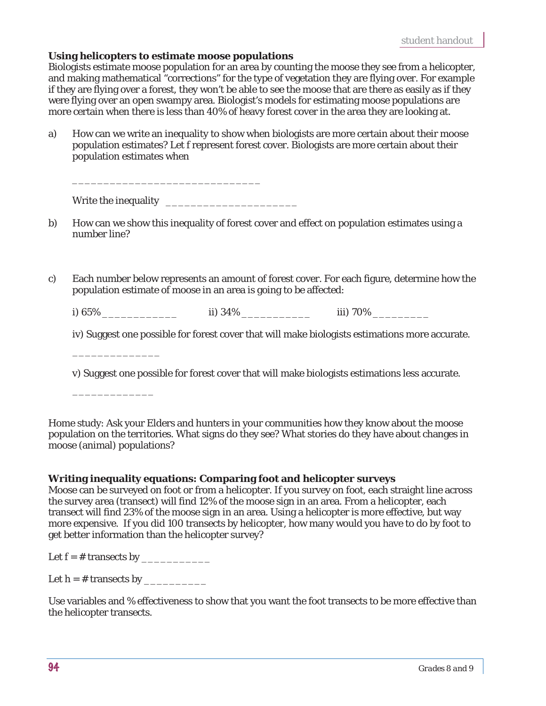#### **Using helicopters to estimate moose populations**

Biologists estimate moose population for an area by counting the moose they see from a helicopter, and making mathematical "corrections" for the type of vegetation they are flying over. For example if they are flying over a forest, they won't be able to see the moose that are there as easily as if they were flying over an open swampy area. Biologist's models for estimating moose populations are more certain when there is less than 40% of heavy forest cover in the area they are looking at.

a) How can we write an inequality to show when biologists are more certain about their moose population estimates? Let *f* represent forest cover. Biologists are more certain about their population estimates when

| Write the inequality |  |
|----------------------|--|
|                      |  |

 $\frac{1}{\sqrt{2}}$  ,  $\frac{1}{\sqrt{2}}$  ,  $\frac{1}{\sqrt{2}}$  ,  $\frac{1}{\sqrt{2}}$  ,  $\frac{1}{\sqrt{2}}$  ,  $\frac{1}{\sqrt{2}}$  ,  $\frac{1}{\sqrt{2}}$  ,  $\frac{1}{\sqrt{2}}$  ,  $\frac{1}{\sqrt{2}}$  ,  $\frac{1}{\sqrt{2}}$  ,  $\frac{1}{\sqrt{2}}$  ,  $\frac{1}{\sqrt{2}}$  ,  $\frac{1}{\sqrt{2}}$  ,  $\frac{1}{\sqrt{2}}$  ,  $\frac{1}{\sqrt{2}}$ 

- b) How can we show this inequality of forest cover and effect on population estimates using a number line?
- c) Each number below represents an amount of forest cover. For each figure, determine how the population estimate of moose in an area is going to be affected:

i) 65% \_\_\_\_\_\_\_\_\_\_\_\_ ii) 34% \_\_\_\_\_\_\_\_\_\_\_ iii) 70% \_\_\_\_\_\_\_\_\_

iv) Suggest one possible for forest cover that will make biologists estimations more accurate.

v) Suggest one possible for forest cover that will make biologists estimations less accurate.

Home study: Ask your Elders and hunters in your communities how they know about the moose population on the territories. What signs do they see? What stories do they have about changes in moose (animal) populations?

#### **Writing inequality equations: Comparing foot and helicopter surveys**

Moose can be surveyed on foot or from a helicopter. If you survey on foot, each straight line across the survey area (transect) will find 12% of the moose sign in an area. From a helicopter, each transect will find 23% of the moose sign in an area. Using a helicopter is more effective, but way more expensive. If you did 100 transects by helicopter, how many would you have to do by foot to get better information than the helicopter survey?

Let f = # transects by \_\_\_\_\_\_\_\_\_\_\_

\_\_\_\_\_\_\_\_\_\_\_\_\_\_

\_\_\_\_\_\_\_\_\_\_\_\_\_

Let  $h = #$  transects by

Use variables and % effectiveness to show that you want the foot transects to be more effective than the helicopter transects.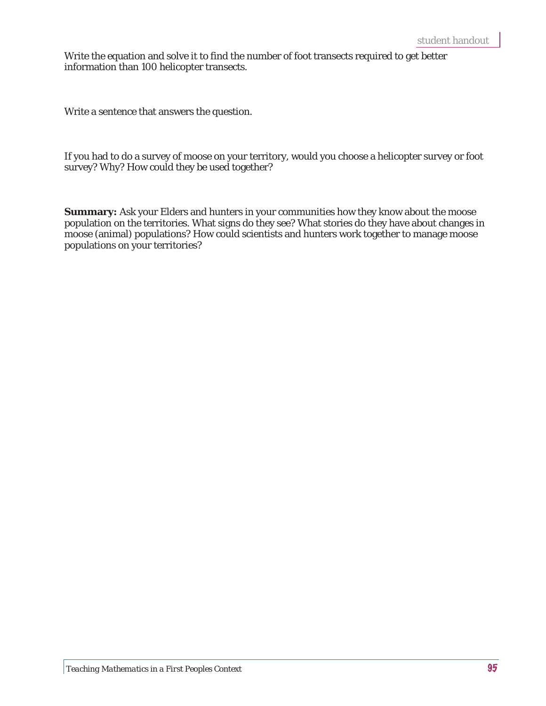Write the equation and solve it to find the number of foot transects required to get better information than 100 helicopter transects.

Write a sentence that answers the question.

If you had to do a survey of moose on your territory, would you choose a helicopter survey or foot survey? Why? How could they be used together?

**Summary:** Ask your Elders and hunters in your communities how they know about the moose population on the territories. What signs do they see? What stories do they have about changes in moose (animal) populations? How could scientists and hunters work together to manage moose populations on your territories?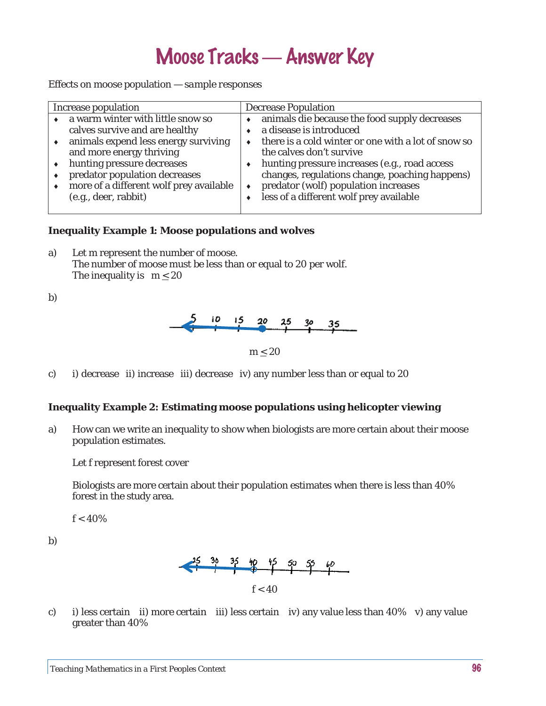# Moose Tracks — Answer Key

Effects on moose population — *sample responses*

| Increase population                                                                                                                                                                                                                                                       | Decrease Population                                                                                                                                                                                                                                                                                                                                    |
|---------------------------------------------------------------------------------------------------------------------------------------------------------------------------------------------------------------------------------------------------------------------------|--------------------------------------------------------------------------------------------------------------------------------------------------------------------------------------------------------------------------------------------------------------------------------------------------------------------------------------------------------|
| a warm winter with little snow so<br>calves survive and are healthy<br>animals expend less energy surviving<br>and more energy thriving<br>hunting pressure decreases<br>predator population decreases<br>more of a different wolf prey available<br>(e.g., deer, rabbit) | animals die because the food supply decreases<br>a disease is introduced<br>there is a cold winter or one with a lot of snow so<br>the calves don't survive<br>hunting pressure increases (e.g., road access<br>changes, regulations change, poaching happens)<br>predator (wolf) population increases<br>٠<br>less of a different wolf prey available |

### **Inequality Example 1: Moose populations and wolves**

- a) Let *m* represent the number of moose. The number of moose must be less than or equal to 20 per wolf. The inequality is  $m < 20$
- b)



*m* < 20

c) i) decrease ii) increase iii) decrease iv) any number less than or equal to 20

#### **Inequality Example 2: Estimating moose populations using helicopter viewing**

a) How can we write an inequality to show when biologists are more certain about their moose population estimates.

Let *f* represent forest cover

Biologists are more certain about their population estimates when there is less than 40% forest in the study area.

*f* < 40%

b)



c) i) less certain ii) more certain iii) less certain iv) any value less than 40% v) any value greater than 40%